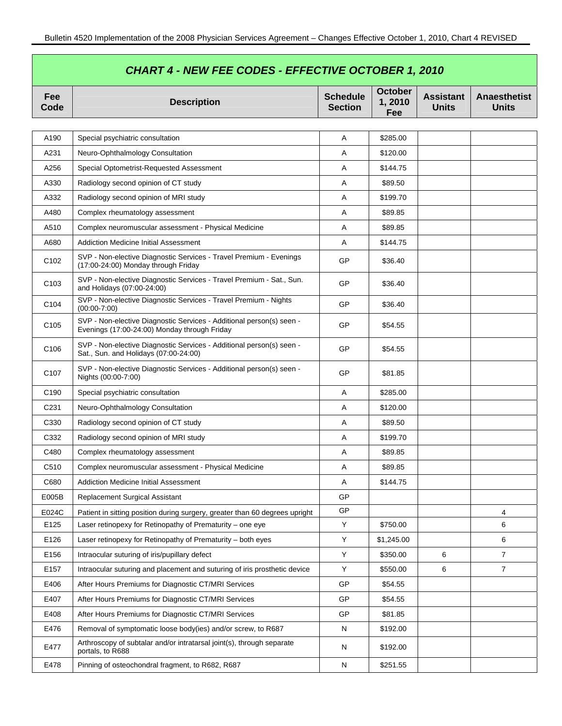| <b>CHART 4 - NEW FEE CODES - EFFECTIVE OCTOBER 1, 2010</b> |                                                                                                                      |                                   |                          |                                  |                                     |  |
|------------------------------------------------------------|----------------------------------------------------------------------------------------------------------------------|-----------------------------------|--------------------------|----------------------------------|-------------------------------------|--|
| Fee<br>Code                                                | <b>Description</b>                                                                                                   | <b>Schedule</b><br><b>Section</b> | October<br>1,2010<br>Fee | <b>Assistant</b><br><b>Units</b> | <b>Anaesthetist</b><br><b>Units</b> |  |
|                                                            |                                                                                                                      |                                   |                          |                                  |                                     |  |
| A190                                                       | Special psychiatric consultation                                                                                     | Α                                 | \$285.00                 |                                  |                                     |  |
| A231                                                       | Neuro-Ophthalmology Consultation                                                                                     | Α                                 | \$120.00                 |                                  |                                     |  |
| A256                                                       | Special Optometrist-Requested Assessment                                                                             | A                                 | \$144.75                 |                                  |                                     |  |
| A330                                                       | Radiology second opinion of CT study                                                                                 | Α                                 | \$89.50                  |                                  |                                     |  |
| A332                                                       | Radiology second opinion of MRI study                                                                                | Α                                 | \$199.70                 |                                  |                                     |  |
| A480                                                       | Complex rheumatology assessment                                                                                      | Α                                 | \$89.85                  |                                  |                                     |  |
| A510                                                       | Complex neuromuscular assessment - Physical Medicine                                                                 | Α                                 | \$89.85                  |                                  |                                     |  |
| A680                                                       | <b>Addiction Medicine Initial Assessment</b>                                                                         | Α                                 | \$144.75                 |                                  |                                     |  |
| C <sub>102</sub>                                           | SVP - Non-elective Diagnostic Services - Travel Premium - Evenings<br>(17:00-24:00) Monday through Friday            | GP                                | \$36.40                  |                                  |                                     |  |
| C <sub>103</sub>                                           | SVP - Non-elective Diagnostic Services - Travel Premium - Sat., Sun.<br>and Holidays (07:00-24:00)                   | GP                                | \$36.40                  |                                  |                                     |  |
| C104                                                       | SVP - Non-elective Diagnostic Services - Travel Premium - Nights<br>$(00:00-7:00)$                                   | GP                                | \$36.40                  |                                  |                                     |  |
| C <sub>105</sub>                                           | SVP - Non-elective Diagnostic Services - Additional person(s) seen -<br>Evenings (17:00-24:00) Monday through Friday | GP                                | \$54.55                  |                                  |                                     |  |
| C <sub>106</sub>                                           | SVP - Non-elective Diagnostic Services - Additional person(s) seen -<br>Sat., Sun. and Holidays (07:00-24:00)        | GP                                | \$54.55                  |                                  |                                     |  |
| C <sub>107</sub>                                           | SVP - Non-elective Diagnostic Services - Additional person(s) seen -<br>Nights (00:00-7:00)                          | GP                                | \$81.85                  |                                  |                                     |  |
| C <sub>190</sub>                                           | Special psychiatric consultation                                                                                     | Α                                 | \$285.00                 |                                  |                                     |  |
| C <sub>231</sub>                                           | Neuro-Ophthalmology Consultation                                                                                     | Α                                 | \$120.00                 |                                  |                                     |  |
| C330                                                       | Radiology second opinion of CT study                                                                                 | Α                                 | \$89.50                  |                                  |                                     |  |
| C332                                                       | Radiology second opinion of MRI study                                                                                | A                                 | \$199.70                 |                                  |                                     |  |
| C480                                                       | Complex rheumatology assessment                                                                                      | Α                                 | \$89.85                  |                                  |                                     |  |
| C510                                                       | Complex neuromuscular assessment - Physical Medicine                                                                 | Α                                 | \$89.85                  |                                  |                                     |  |
| C680                                                       | <b>Addiction Medicine Initial Assessment</b>                                                                         | Α                                 | \$144.75                 |                                  |                                     |  |
| E005B                                                      | Replacement Surgical Assistant                                                                                       | GP                                |                          |                                  |                                     |  |
| E024C                                                      | Patient in sitting position during surgery, greater than 60 degrees upright                                          | GP                                |                          |                                  | 4                                   |  |
| E125                                                       | Laser retinopexy for Retinopathy of Prematurity - one eye                                                            | Υ                                 | \$750.00                 |                                  | 6                                   |  |
| E126                                                       | Laser retinopexy for Retinopathy of Prematurity - both eyes                                                          | Y                                 | \$1,245.00               |                                  | 6                                   |  |
| E156                                                       | Intraocular suturing of iris/pupillary defect                                                                        | Y                                 | \$350.00                 | 6                                | 7                                   |  |
| E157                                                       | Intraocular suturing and placement and suturing of iris prosthetic device                                            | Υ                                 | \$550.00                 | 6                                | $\overline{7}$                      |  |
| E406                                                       | After Hours Premiums for Diagnostic CT/MRI Services                                                                  | GP                                | \$54.55                  |                                  |                                     |  |
| E407                                                       | After Hours Premiums for Diagnostic CT/MRI Services                                                                  | GP                                | \$54.55                  |                                  |                                     |  |
| E408                                                       | After Hours Premiums for Diagnostic CT/MRI Services                                                                  | GP                                | \$81.85                  |                                  |                                     |  |
| E476                                                       | Removal of symptomatic loose body(ies) and/or screw, to R687                                                         | $\mathsf{N}$                      | \$192.00                 |                                  |                                     |  |
| E477                                                       | Arthroscopy of subtalar and/or intratarsal joint(s), through separate<br>portals, to R688                            | $\mathsf{N}$                      | \$192.00                 |                                  |                                     |  |
| E478                                                       | Pinning of osteochondral fragment, to R682, R687                                                                     | N                                 | \$251.55                 |                                  |                                     |  |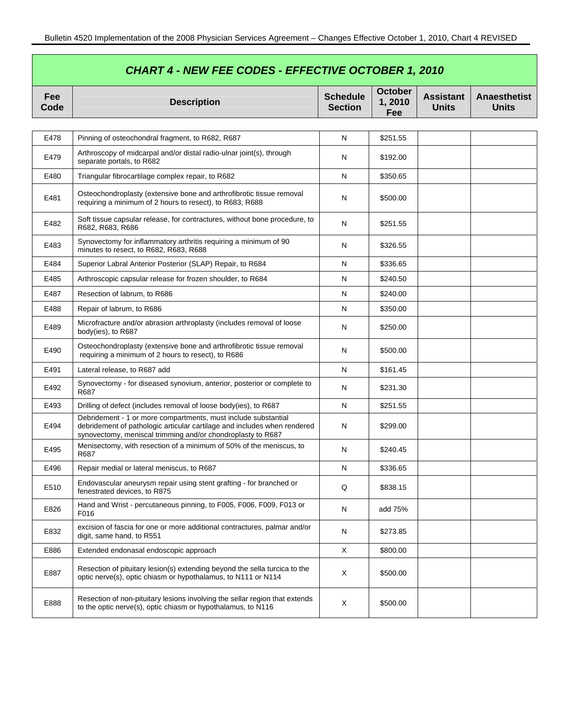| <b>CHART 4 - NEW FEE CODES - EFFECTIVE OCTOBER 1, 2010</b> |                                                                                                                                                                                                           |                                   |                                 |                                  |                                     |  |
|------------------------------------------------------------|-----------------------------------------------------------------------------------------------------------------------------------------------------------------------------------------------------------|-----------------------------------|---------------------------------|----------------------------------|-------------------------------------|--|
| <b>Fee</b><br>Code                                         | <b>Description</b>                                                                                                                                                                                        | <b>Schedule</b><br><b>Section</b> | <b>October</b><br>1,2010<br>Fee | <b>Assistant</b><br><b>Units</b> | <b>Anaesthetist</b><br><b>Units</b> |  |
|                                                            |                                                                                                                                                                                                           |                                   |                                 |                                  |                                     |  |
| E478                                                       | Pinning of osteochondral fragment, to R682, R687                                                                                                                                                          | N                                 | \$251.55                        |                                  |                                     |  |
| E479                                                       | Arthroscopy of midcarpal and/or distal radio-ulnar joint(s), through<br>separate portals, to R682                                                                                                         | N                                 | \$192.00                        |                                  |                                     |  |
| E480                                                       | Triangular fibrocartilage complex repair, to R682                                                                                                                                                         | Ν                                 | \$350.65                        |                                  |                                     |  |
| E481                                                       | Osteochondroplasty (extensive bone and arthrofibrotic tissue removal<br>requiring a minimum of 2 hours to resect), to R683, R688                                                                          | N                                 | \$500.00                        |                                  |                                     |  |
| E482                                                       | Soft tissue capsular release, for contractures, without bone procedure, to<br>R682, R683, R686                                                                                                            | N                                 | \$251.55                        |                                  |                                     |  |
| E483                                                       | Synovectomy for inflammatory arthritis requiring a minimum of 90<br>minutes to resect, to R682, R683, R688                                                                                                | N                                 | \$326.55                        |                                  |                                     |  |
| E484                                                       | Superior Labral Anterior Posterior (SLAP) Repair, to R684                                                                                                                                                 | N                                 | \$336.65                        |                                  |                                     |  |
| E485                                                       | Arthroscopic capsular release for frozen shoulder, to R684                                                                                                                                                | N                                 | \$240.50                        |                                  |                                     |  |
| E487                                                       | Resection of labrum, to R686                                                                                                                                                                              | Ν                                 | \$240.00                        |                                  |                                     |  |
| E488                                                       | Repair of labrum, to R686                                                                                                                                                                                 | N                                 | \$350.00                        |                                  |                                     |  |
| E489                                                       | Microfracture and/or abrasion arthroplasty (includes removal of loose<br>body(ies), to R687                                                                                                               | N                                 | \$250.00                        |                                  |                                     |  |
| E490                                                       | Osteochondroplasty (extensive bone and arthrofibrotic tissue removal<br>requiring a minimum of 2 hours to resect), to R686                                                                                | N                                 | \$500.00                        |                                  |                                     |  |
| E491                                                       | Lateral release, to R687 add                                                                                                                                                                              | N                                 | \$161.45                        |                                  |                                     |  |
| E492                                                       | Synovectomy - for diseased synovium, anterior, posterior or complete to<br>R687                                                                                                                           | N                                 | \$231.30                        |                                  |                                     |  |
| E493                                                       | Drilling of defect (includes removal of loose body(ies), to R687                                                                                                                                          | Ν                                 | \$251.55                        |                                  |                                     |  |
| E494                                                       | Debridement - 1 or more compartments, must include substantial<br>debridement of pathologic articular cartilage and includes when rendered<br>synovectomy, meniscal trimming and/or chondroplasty to R687 | N                                 | \$299.00                        |                                  |                                     |  |
| E495                                                       | Menisectomy, with resection of a minimum of 50% of the meniscus, to<br>R687                                                                                                                               | N                                 | \$240.45                        |                                  |                                     |  |
| E496                                                       | Repair medial or lateral meniscus, to R687                                                                                                                                                                | N                                 | \$336.65                        |                                  |                                     |  |
| E510                                                       | Endovascular aneurysm repair using stent grafting - for branched or<br>fenestrated devices, to R875                                                                                                       | Q                                 | \$838.15                        |                                  |                                     |  |
| E826                                                       | Hand and Wrist - percutaneous pinning, to F005, F006, F009, F013 or<br>F016                                                                                                                               | N                                 | add 75%                         |                                  |                                     |  |
| E832                                                       | excision of fascia for one or more additional contractures, palmar and/or<br>digit, same hand, to R551                                                                                                    | N                                 | \$273.85                        |                                  |                                     |  |
| E886                                                       | Extended endonasal endoscopic approach                                                                                                                                                                    | X                                 | \$800.00                        |                                  |                                     |  |
| E887                                                       | Resection of pituitary lesion(s) extending beyond the sella turcica to the<br>optic nerve(s), optic chiasm or hypothalamus, to N111 or N114                                                               | Χ                                 | \$500.00                        |                                  |                                     |  |
| E888                                                       | Resection of non-pituitary lesions involving the sellar region that extends<br>to the optic nerve(s), optic chiasm or hypothalamus, to N116                                                               | X                                 | \$500.00                        |                                  |                                     |  |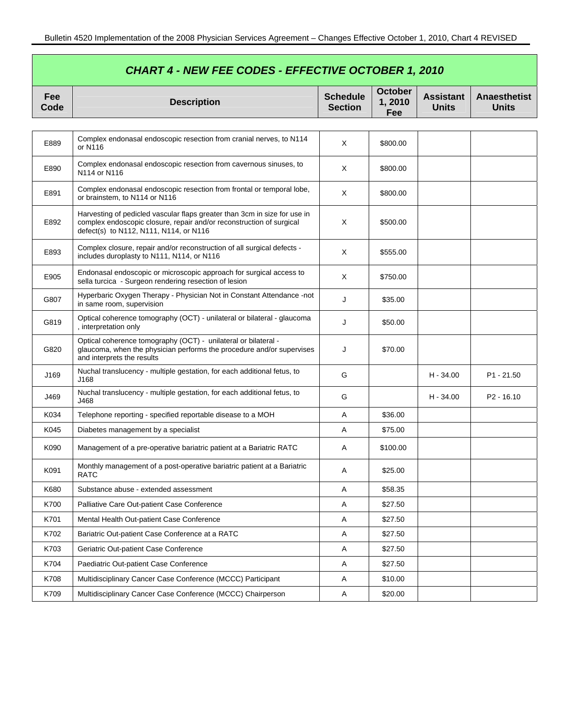| <b>CHART 4 - NEW FEE CODES - EFFECTIVE OCTOBER 1, 2010</b> |                                                                                                                                                                                             |                                   |                                 |                                  |                                     |  |
|------------------------------------------------------------|---------------------------------------------------------------------------------------------------------------------------------------------------------------------------------------------|-----------------------------------|---------------------------------|----------------------------------|-------------------------------------|--|
| <b>Fee</b><br>Code                                         | <b>Description</b>                                                                                                                                                                          | <b>Schedule</b><br><b>Section</b> | <b>October</b><br>1,2010<br>Fee | <b>Assistant</b><br><b>Units</b> | <b>Anaesthetist</b><br><b>Units</b> |  |
|                                                            |                                                                                                                                                                                             |                                   |                                 |                                  |                                     |  |
| E889                                                       | Complex endonasal endoscopic resection from cranial nerves, to N114<br>or N116                                                                                                              | X                                 | \$800.00                        |                                  |                                     |  |
| E890                                                       | Complex endonasal endoscopic resection from cavernous sinuses, to<br>N114 or N116                                                                                                           | X                                 | \$800.00                        |                                  |                                     |  |
| E891                                                       | Complex endonasal endoscopic resection from frontal or temporal lobe,<br>or brainstem, to N114 or N116                                                                                      | X                                 | \$800.00                        |                                  |                                     |  |
| E892                                                       | Harvesting of pedicled vascular flaps greater than 3cm in size for use in<br>complex endoscopic closure, repair and/or reconstruction of surgical<br>defect(s) to N112, N111, N114, or N116 | Χ                                 | \$500.00                        |                                  |                                     |  |
| E893                                                       | Complex closure, repair and/or reconstruction of all surgical defects -<br>includes duroplasty to N111, N114, or N116                                                                       | Χ                                 | \$555.00                        |                                  |                                     |  |
| E905                                                       | Endonasal endoscopic or microscopic approach for surgical access to<br>sella turcica - Surgeon rendering resection of lesion                                                                | Χ                                 | \$750.00                        |                                  |                                     |  |
| G807                                                       | Hyperbaric Oxygen Therapy - Physician Not in Constant Attendance -not<br>in same room, supervision                                                                                          | J                                 | \$35.00                         |                                  |                                     |  |
| G819                                                       | Optical coherence tomography (OCT) - unilateral or bilateral - glaucoma<br>, interpretation only                                                                                            | J                                 | \$50.00                         |                                  |                                     |  |
| G820                                                       | Optical coherence tomography (OCT) - unilateral or bilateral -<br>glaucoma, when the physician performs the procedure and/or supervises<br>and interprets the results                       | J                                 | \$70.00                         |                                  |                                     |  |
| J169                                                       | Nuchal translucency - multiple gestation, for each additional fetus, to<br>J168                                                                                                             | G                                 |                                 | $H - 34.00$                      | P <sub>1</sub> - 21.50              |  |
| J469                                                       | Nuchal translucency - multiple gestation, for each additional fetus, to<br>J468                                                                                                             | G                                 |                                 | $H - 34.00$                      | $P2 - 16.10$                        |  |
| K034                                                       | Telephone reporting - specified reportable disease to a MOH                                                                                                                                 | Α                                 | \$36.00                         |                                  |                                     |  |
| K045                                                       | Diabetes management by a specialist                                                                                                                                                         | Α                                 | \$75.00                         |                                  |                                     |  |
| K090                                                       | Management of a pre-operative bariatric patient at a Bariatric RATC                                                                                                                         | A                                 | \$100.00                        |                                  |                                     |  |
| K091                                                       | Monthly management of a post-operative bariatric patient at a Bariatric<br>RATC                                                                                                             | Α                                 | \$25.00                         |                                  |                                     |  |
| K680                                                       | Substance abuse - extended assessment                                                                                                                                                       | A                                 | \$58.35                         |                                  |                                     |  |
| K700                                                       | Palliative Care Out-patient Case Conference                                                                                                                                                 | A                                 | \$27.50                         |                                  |                                     |  |
| K701                                                       | Mental Health Out-patient Case Conference                                                                                                                                                   | A                                 | \$27.50                         |                                  |                                     |  |
| K702                                                       | Bariatric Out-patient Case Conference at a RATC                                                                                                                                             | A                                 | \$27.50                         |                                  |                                     |  |
| K703                                                       | Geriatric Out-patient Case Conference                                                                                                                                                       | A                                 | \$27.50                         |                                  |                                     |  |
| K704                                                       | Paediatric Out-patient Case Conference                                                                                                                                                      | Α                                 | \$27.50                         |                                  |                                     |  |
| K708                                                       | Multidisciplinary Cancer Case Conference (MCCC) Participant                                                                                                                                 | A                                 | \$10.00                         |                                  |                                     |  |
| K709                                                       | Multidisciplinary Cancer Case Conference (MCCC) Chairperson                                                                                                                                 | Α                                 | \$20.00                         |                                  |                                     |  |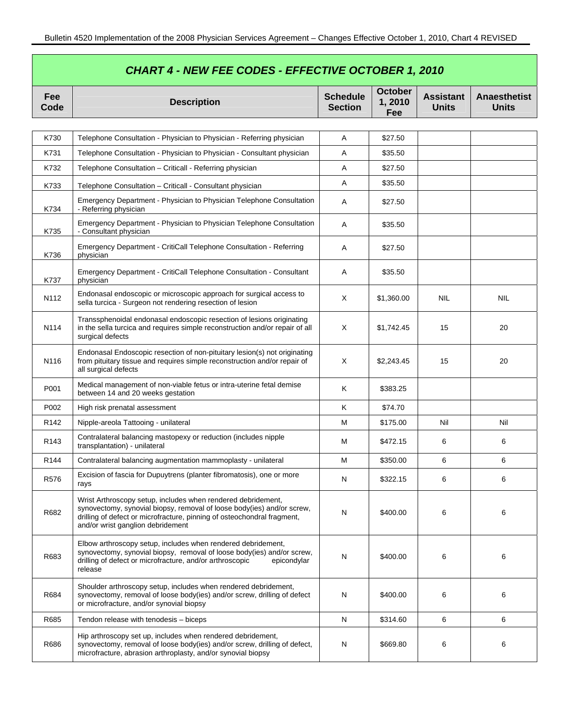| <b>CHART 4 - NEW FEE CODES - EFFECTIVE OCTOBER 1, 2010</b> |                                                                                                                                                                                                                                                        |                                   |                                 |                                  |                                     |  |
|------------------------------------------------------------|--------------------------------------------------------------------------------------------------------------------------------------------------------------------------------------------------------------------------------------------------------|-----------------------------------|---------------------------------|----------------------------------|-------------------------------------|--|
| Fee<br>Code                                                | <b>Description</b>                                                                                                                                                                                                                                     | <b>Schedule</b><br><b>Section</b> | <b>October</b><br>1,2010<br>Fee | <b>Assistant</b><br><b>Units</b> | <b>Anaesthetist</b><br><b>Units</b> |  |
|                                                            |                                                                                                                                                                                                                                                        |                                   |                                 |                                  |                                     |  |
| K730                                                       | Telephone Consultation - Physician to Physician - Referring physician                                                                                                                                                                                  | A                                 | \$27.50                         |                                  |                                     |  |
| K731                                                       | Telephone Consultation - Physician to Physician - Consultant physician                                                                                                                                                                                 | Α                                 | \$35.50                         |                                  |                                     |  |
| K732                                                       | Telephone Consultation - Criticall - Referring physician                                                                                                                                                                                               | Α                                 | \$27.50                         |                                  |                                     |  |
| K733                                                       | Telephone Consultation - Criticall - Consultant physician                                                                                                                                                                                              | A                                 | \$35.50                         |                                  |                                     |  |
| K734                                                       | Emergency Department - Physician to Physician Telephone Consultation<br>- Referring physician                                                                                                                                                          | Α                                 | \$27.50                         |                                  |                                     |  |
| K735                                                       | Emergency Department - Physician to Physician Telephone Consultation<br>- Consultant physician                                                                                                                                                         | Α                                 | \$35.50                         |                                  |                                     |  |
| K736                                                       | Emergency Department - CritiCall Telephone Consultation - Referring<br>physician                                                                                                                                                                       | A                                 | \$27.50                         |                                  |                                     |  |
| K737                                                       | Emergency Department - CritiCall Telephone Consultation - Consultant<br>physician                                                                                                                                                                      | Α                                 | \$35.50                         |                                  |                                     |  |
| N <sub>112</sub>                                           | Endonasal endoscopic or microscopic approach for surgical access to<br>sella turcica - Surgeon not rendering resection of lesion                                                                                                                       | X                                 | \$1,360.00                      | <b>NIL</b>                       | <b>NIL</b>                          |  |
| N114                                                       | Transsphenoidal endonasal endoscopic resection of lesions originating<br>in the sella turcica and requires simple reconstruction and/or repair of all<br>surgical defects                                                                              | Χ                                 | \$1,742.45                      | 15                               | 20                                  |  |
| N <sub>116</sub>                                           | Endonasal Endoscopic resection of non-pituitary lesion(s) not originating<br>from pituitary tissue and requires simple reconstruction and/or repair of<br>all surgical defects                                                                         | X                                 | \$2,243.45                      | 15                               | 20                                  |  |
| P001                                                       | Medical management of non-viable fetus or intra-uterine fetal demise<br>between 14 and 20 weeks gestation                                                                                                                                              | Κ                                 | \$383.25                        |                                  |                                     |  |
| P002                                                       | High risk prenatal assessment                                                                                                                                                                                                                          | K                                 | \$74.70                         |                                  |                                     |  |
| R <sub>142</sub>                                           | Nipple-areola Tattooing - unilateral                                                                                                                                                                                                                   | M                                 | \$175.00                        | Nil                              | Nil                                 |  |
| R <sub>143</sub>                                           | Contralateral balancing mastopexy or reduction (includes nipple<br>transplantation) - unilateral                                                                                                                                                       | M                                 | \$472.15                        | 6                                | 6                                   |  |
| R <sub>144</sub>                                           | Contralateral balancing augmentation mammoplasty - unilateral                                                                                                                                                                                          | М                                 | \$350.00                        | 6                                | 6                                   |  |
| R576                                                       | Excision of fascia for Dupuytrens (planter fibromatosis), one or more<br>rays                                                                                                                                                                          | N                                 | \$322.15                        | 6                                | 6                                   |  |
| R682                                                       | Wrist Arthroscopy setup, includes when rendered debridement,<br>synovectomy, synovial biopsy, removal of loose body(ies) and/or screw,<br>drilling of defect or microfracture, pinning of osteochondral fragment,<br>and/or wrist ganglion debridement | N                                 | \$400.00                        | 6                                | 6                                   |  |
| R683                                                       | Elbow arthroscopy setup, includes when rendered debridement,<br>synovectomy, synovial biopsy, removal of loose body(ies) and/or screw,<br>drilling of defect or microfracture, and/or arthroscopic<br>epicondylar<br>release                           | N                                 | \$400.00                        | 6                                | 6                                   |  |
| R684                                                       | Shoulder arthroscopy setup, includes when rendered debridement,<br>synovectomy, removal of loose body(ies) and/or screw, drilling of defect<br>or microfracture, and/or synovial biopsy                                                                | N                                 | \$400.00                        | 6                                | 6                                   |  |
| R685                                                       | Tendon release with tenodesis - biceps                                                                                                                                                                                                                 | $\mathsf{N}$                      | \$314.60                        | 6                                | 6                                   |  |
| R686                                                       | Hip arthroscopy set up, includes when rendered debridement,<br>synovectomy, removal of loose body(ies) and/or screw, drilling of defect,<br>microfracture, abrasion arthroplasty, and/or synovial biopsy                                               | N                                 | \$669.80                        | 6                                | 6                                   |  |